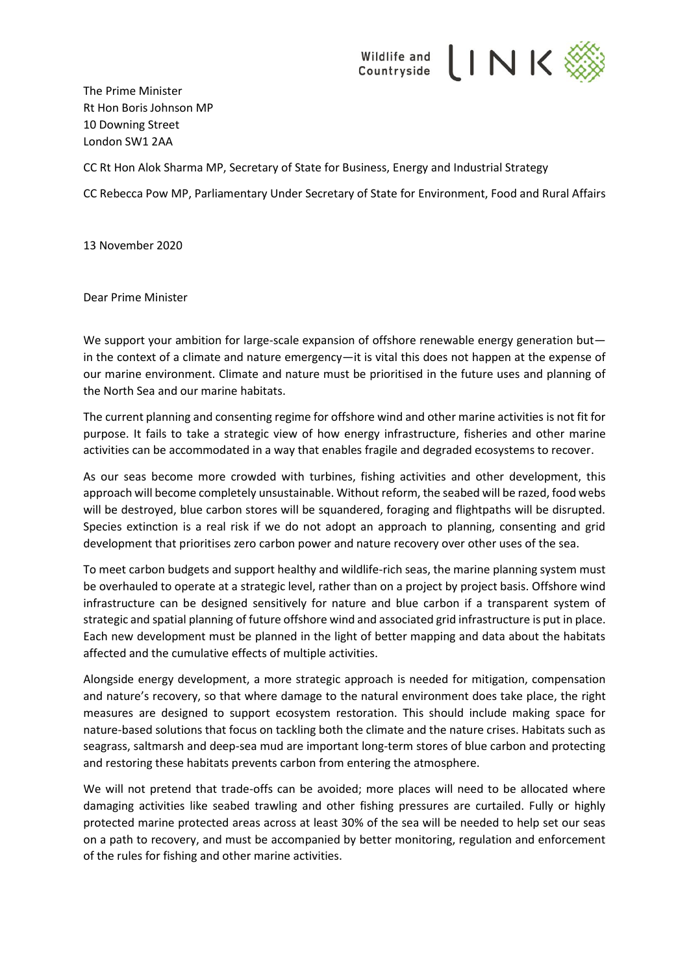

The Prime Minister Rt Hon Boris Johnson MP 10 Downing Street London SW1 2AA

CC Rt Hon Alok Sharma MP, Secretary of State for Business, Energy and Industrial Strategy

CC Rebecca Pow MP, Parliamentary Under Secretary of State for Environment, Food and Rural Affairs

13 November 2020

Dear Prime Minister

We support your ambition for large-scale expansion of offshore renewable energy generation but in the context of a climate and nature emergency—it is vital this does not happen at the expense of our marine environment. Climate and nature must be prioritised in the future uses and planning of the North Sea and our marine habitats.

The current planning and consenting regime for offshore wind and other marine activities is not fit for purpose. It fails to take a strategic view of how energy infrastructure, fisheries and other marine activities can be accommodated in a way that enables fragile and degraded ecosystems to recover.

As our seas become more crowded with turbines, fishing activities and other development, this approach will become completely unsustainable. Without reform, the seabed will be razed, food webs will be destroyed, blue carbon stores will be squandered, foraging and flightpaths will be disrupted. Species extinction is a real risk if we do not adopt an approach to planning, consenting and grid development that prioritises zero carbon power and nature recovery over other uses of the sea.

To meet carbon budgets and support healthy and wildlife-rich seas, the marine planning system must be overhauled to operate at a strategic level, rather than on a project by project basis. Offshore wind infrastructure can be designed sensitively for nature and blue carbon if a transparent system of strategic and spatial planning of future offshore wind and associated grid infrastructure is put in place. Each new development must be planned in the light of better mapping and data about the habitats affected and the cumulative effects of multiple activities.

Alongside energy development, a more strategic approach is needed for mitigation, compensation and nature's recovery, so that where damage to the natural environment does take place, the right measures are designed to support ecosystem restoration. This should include making space for nature-based solutions that focus on tackling both the climate and the nature crises. Habitats such as seagrass, saltmarsh and deep-sea mud are important long-term stores of blue carbon and protecting and restoring these habitats prevents carbon from entering the atmosphere.

We will not pretend that trade-offs can be avoided; more places will need to be allocated where damaging activities like seabed trawling and other fishing pressures are curtailed. Fully or highly protected marine protected areas across at least 30% of the sea will be needed to help set our seas on a path to recovery, and must be accompanied by better monitoring, regulation and enforcement of the rules for fishing and other marine activities.